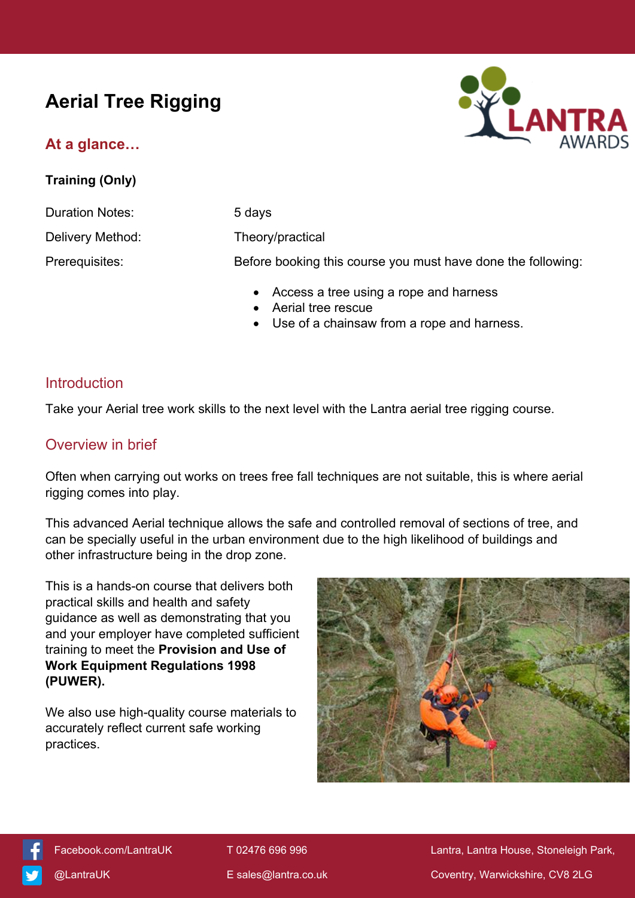# **Aerial Tree Rigging**

## **At a glance…**

**Training (Only)**



Duration Notes: 5 days Delivery Method: Theory/practical Prerequisites: Before booking this course you must have done the following:

- Access a tree using a rope and harness
- Aerial tree rescue
- Use of a chainsaw from a rope and harness.

#### **Introduction**

Take your Aerial tree work skills to the next level with the Lantra aerial tree rigging course.

#### Overview in brief

Often when carrying out works on trees free fall techniques are not suitable, this is where aerial rigging comes into play.

This advanced Aerial technique allows the safe and controlled removal of sections of tree, and can be specially useful in the urban environment due to the high likelihood of buildings and other infrastructure being in the drop zone.

This is a hands-on course that delivers both practical skills and health and safety guidance as well as demonstrating that you and your employer have completed sufficient training to meet the **Provision and Use of Work Equipment Regulations 1998 (PUWER).**

We also use high-quality course materials to accurately reflect current safe working practices.





[Facebook.com/LantraUK](https://www.facebook.com/LantraUK/) T 02476 696 996 Lantra, Lantra, Lantra House, Stoneleigh Park, [@LantraUK](http://www.twitter.com/lantrauk) E [sales@lantra.co.uk](mailto:sales@lantra.co.uk) Coventry, Warwickshire, CV8 2LG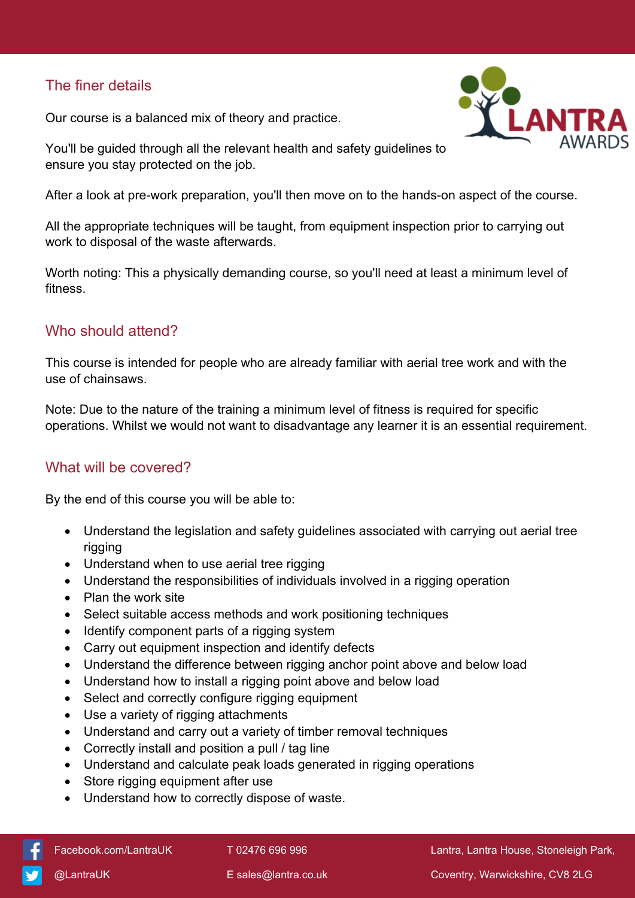### The finer details

Our course is a balanced mix of theory and practice.



You'll be guided through all the relevant health and safety guidelines to ensure you stay protected on the job.

After a look at pre-work preparation, you'll then move on to the hands-on aspect of the course.

All the appropriate techniques will be taught, from equipment inspection prior to carrying out work to disposal of the waste afterwards.

Worth noting: This a physically demanding course, so you'll need at least a minimum level of fitness.

#### Who should attend?

This course is intended for people who are already familiar with aerial tree work and with the use of chainsaws.

Note: Due to the nature of the training a minimum level of fitness is required for specific operations. Whilst we would not want to disadvantage any learner it is an essential requirement.

#### What will be covered?

By the end of this course you will be able to:

- Understand the legislation and safety guidelines associated with carrying out aerial tree rigging
- Understand when to use aerial tree rigging
- Understand the responsibilities of individuals involved in a rigging operation
- Plan the work site
- Select suitable access methods and work positioning techniques
- Identify component parts of a rigging system
- Carry out equipment inspection and identify defects
- Understand the difference between rigging anchor point above and below load
- Understand how to install a rigging point above and below load
- Select and correctly configure rigging equipment
- Use a variety of rigging attachments
- Understand and carry out a variety of timber removal techniques
- Correctly install and position a pull / tag line
- Understand and calculate peak loads generated in rigging operations
- Store rigging equipment after use
- Understand how to correctly dispose of waste.

[Facebook.com/LantraUK](https://www.facebook.com/LantraUK/) T 02476 696 996 Lantra, Lantra House, Stoneleigh Park,